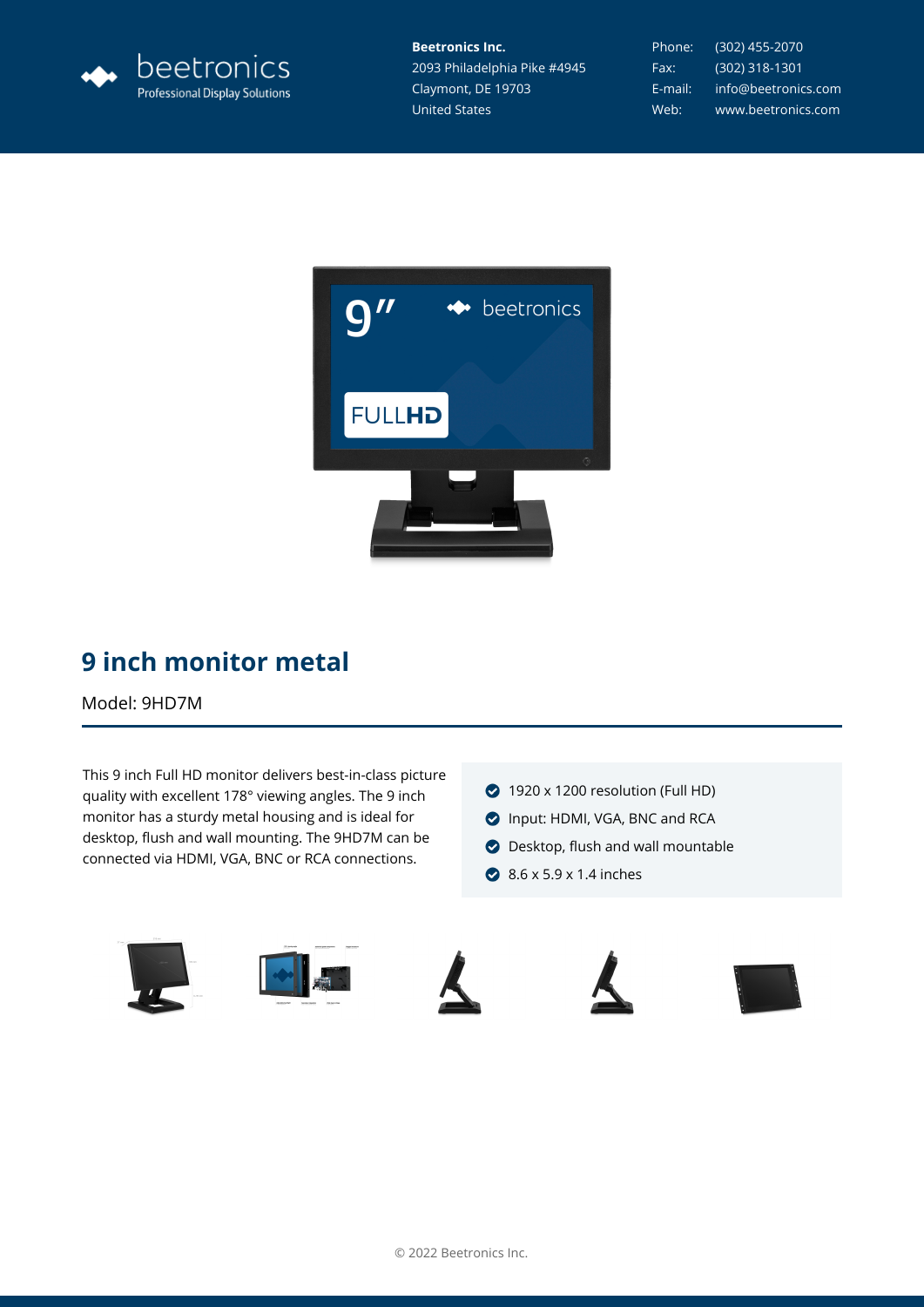

**Beetronics Inc.** 2093 Philadelphia Pike #4945 Claymont, DE 19703 United States

Phone: (302) 455-2070 Fax: (302) 318-1301 E-mail: info@beetronics.com Web: www.beetronics.com



## **9 inch monitor metal**

Model: 9HD7M

This 9 inch Full HD monitor delivers best-in-class picture quality with excellent 178° viewing angles. The 9 inch monitor has a sturdy metal housing and is ideal for desktop, flush and wall mounting. The 9HD7M can be connected via HDMI, VGA, BNC or RCA connections.

- 1920 x 1200 resolution (Full HD)
- Input: HDMI, VGA, BNC and RCA
- **O** Desktop, flush and wall mountable
- **◆ 8.6 x 5.9 x 1.4 inches**









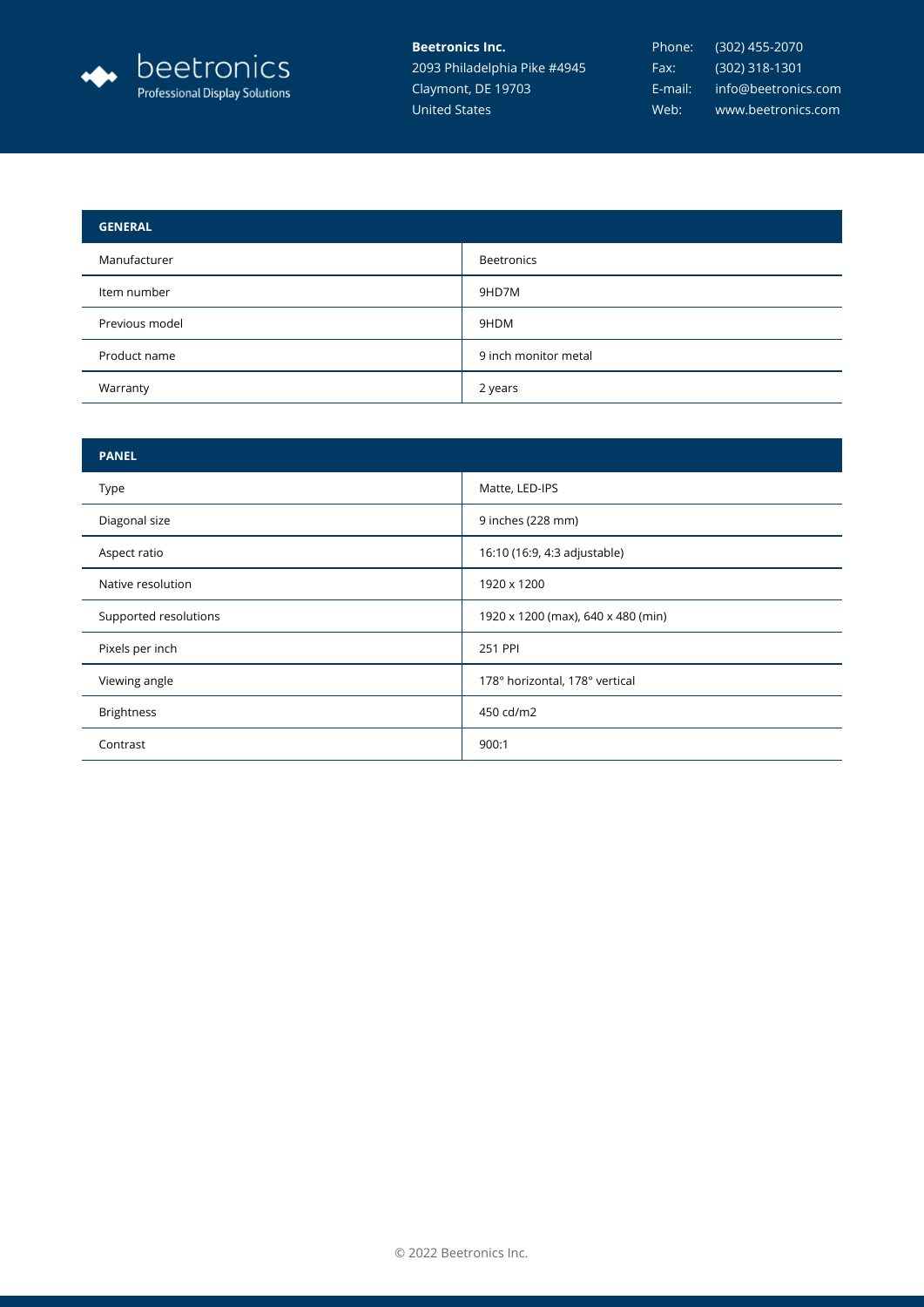

**Beetronics Inc.** 2093 Philadelphia Pike #4945 Claymont, DE 19703 United States

| <b>GENERAL</b> |                      |
|----------------|----------------------|
| Manufacturer   | <b>Beetronics</b>    |
| Item number    | 9HD7M                |
| Previous model | 9HDM                 |
| Product name   | 9 inch monitor metal |
| Warranty       | 2 years              |

| <b>PANEL</b>          |                                    |
|-----------------------|------------------------------------|
| Type                  | Matte, LED-IPS                     |
| Diagonal size         | 9 inches (228 mm)                  |
| Aspect ratio          | 16:10 (16:9, 4:3 adjustable)       |
| Native resolution     | 1920 x 1200                        |
| Supported resolutions | 1920 x 1200 (max), 640 x 480 (min) |
| Pixels per inch       | 251 PPI                            |
| Viewing angle         | 178° horizontal, 178° vertical     |
| <b>Brightness</b>     | 450 cd/m2                          |
| Contrast              | 900:1                              |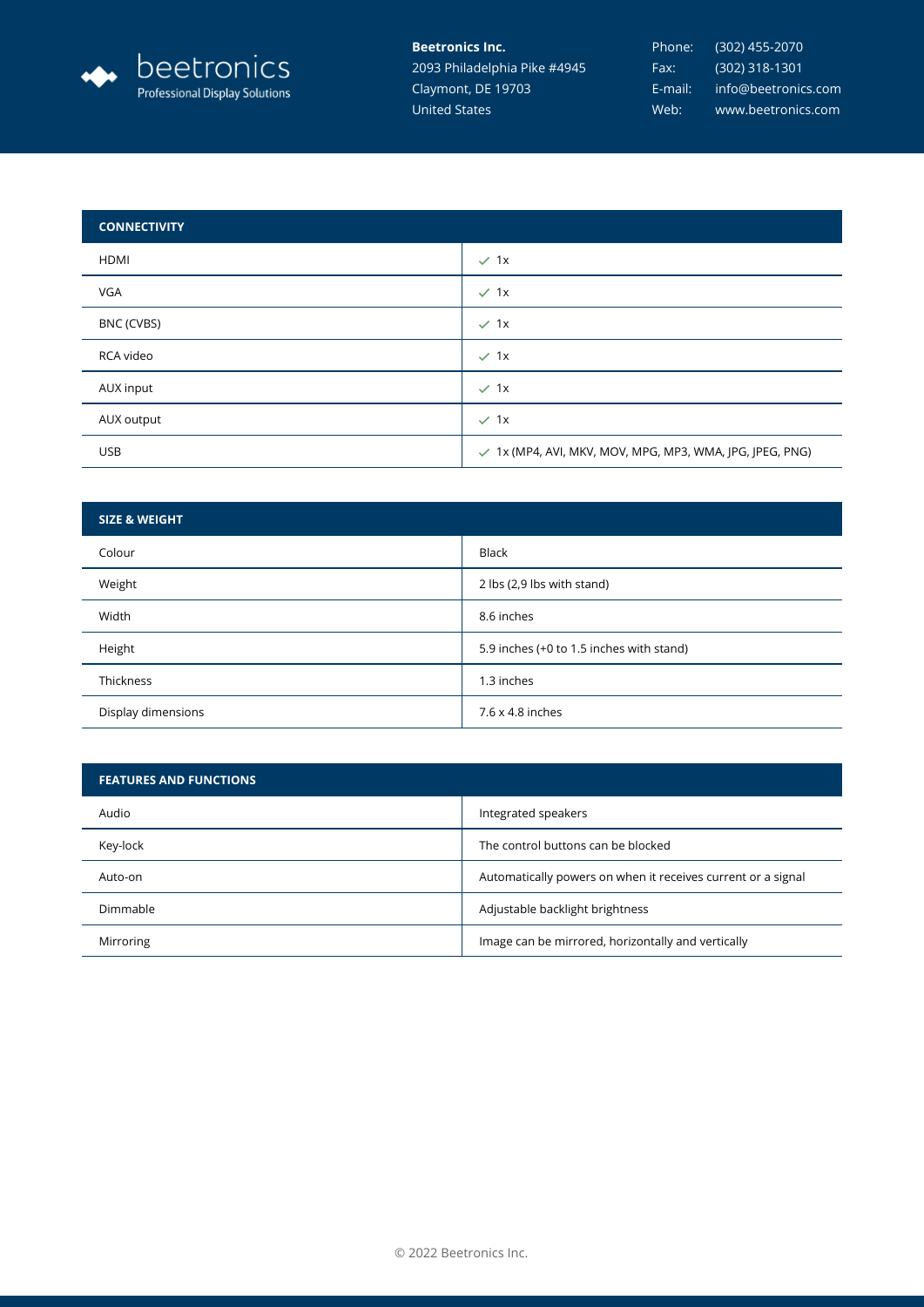

## **Beetronics Inc.**

2093 Philadelphia Pike #4945 Claymont, DE 19703 United States

| <b>CONNECTIVITY</b> |                                                                     |
|---------------------|---------------------------------------------------------------------|
| HDMI                | $\times$ 1x                                                         |
| <b>VGA</b>          | $\times$ 1x                                                         |
| BNC (CVBS)          | $\checkmark$ 1x                                                     |
| RCA video           | $\times$ 1x                                                         |
| AUX input           | $\times$ 1x                                                         |
| AUX output          | $\checkmark$ 1x                                                     |
| <b>USB</b>          | $\checkmark$ 1x (MP4, AVI, MKV, MOV, MPG, MP3, WMA, JPG, JPEG, PNG) |

| <b>SIZE &amp; WEIGHT</b> |                                          |
|--------------------------|------------------------------------------|
| Colour                   | <b>Black</b>                             |
| Weight                   | 2 lbs (2,9 lbs with stand)               |
| Width                    | 8.6 inches                               |
| Height                   | 5.9 inches (+0 to 1.5 inches with stand) |
| Thickness                | 1.3 inches                               |
| Display dimensions       | 7.6 x 4.8 inches                         |

| <b>FEATURES AND FUNCTIONS</b> |                                                              |
|-------------------------------|--------------------------------------------------------------|
| Audio                         | Integrated speakers                                          |
| Key-lock                      | The control buttons can be blocked                           |
| Auto-on                       | Automatically powers on when it receives current or a signal |
| Dimmable                      | Adjustable backlight brightness                              |
| Mirroring                     | Image can be mirrored, horizontally and vertically           |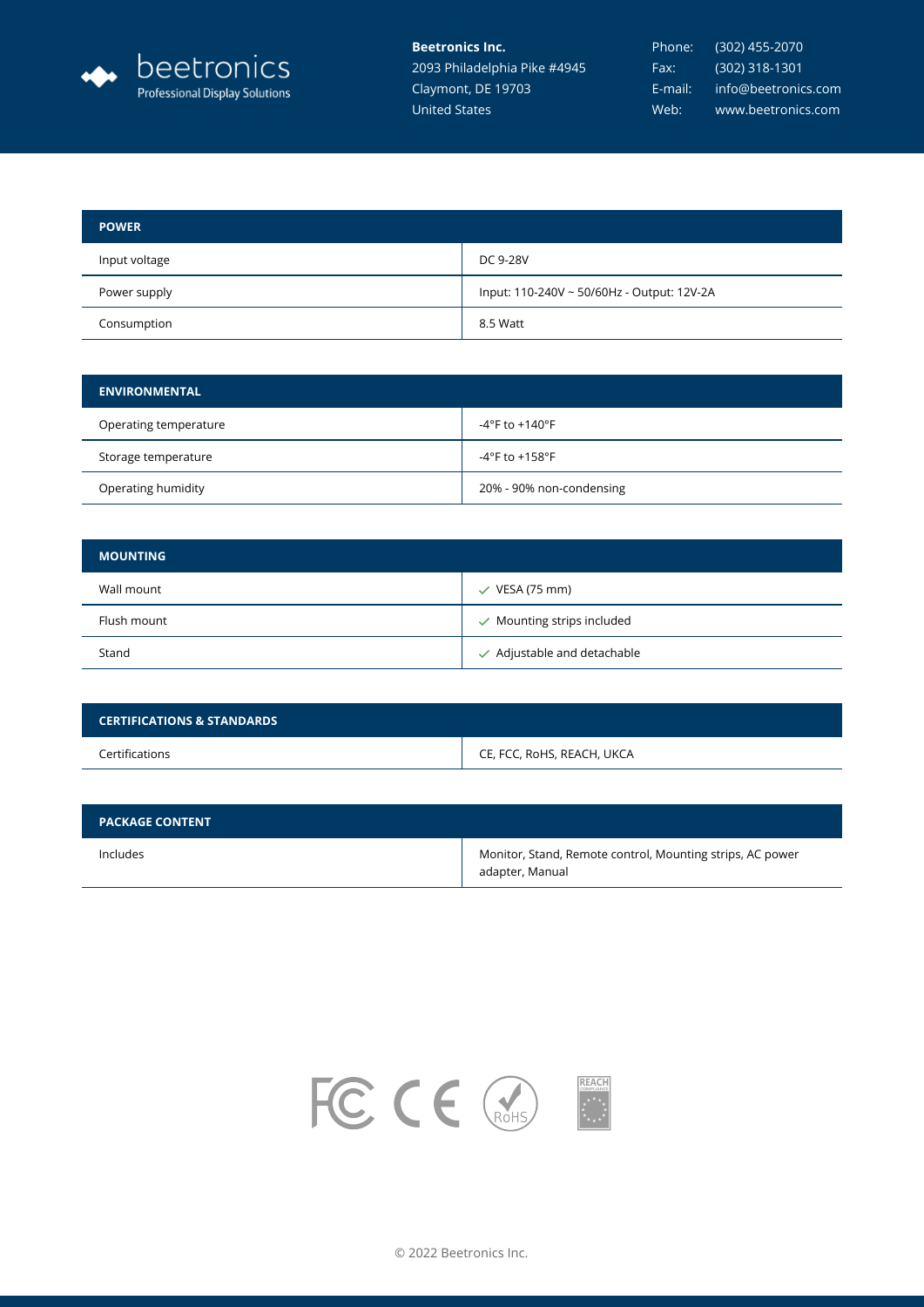

**Beetronics Inc.** 2093 Philadelphia Pike #4945 Claymont, DE 19703 United States

| <b>POWER</b>  |                                            |
|---------------|--------------------------------------------|
| Input voltage | DC 9-28V                                   |
| Power supply  | Input: 110-240V ~ 50/60Hz - Output: 12V-2A |
| Consumption   | 8.5 Watt                                   |

| <b>ENVIRONMENTAL</b>  |                          |
|-----------------------|--------------------------|
| Operating temperature | -4°F to +140°F           |
| Storage temperature   | $-4$ °F to $+158$ °F     |
| Operating humidity    | 20% - 90% non-condensing |

| <b>MOUNTING</b> |                                        |
|-----------------|----------------------------------------|
| Wall mount      | $\checkmark$ VESA (75 mm)              |
| Flush mount     | $\checkmark$ Mounting strips included  |
| Stand           | $\checkmark$ Adjustable and detachable |

| <b>CERTIFICATIONS &amp; STANDARDS</b> |                            |
|---------------------------------------|----------------------------|
| Certifications                        | CE, FCC, RoHS, REACH, UKCA |

| <b>PACKAGE CONTENT</b> |                                                                              |
|------------------------|------------------------------------------------------------------------------|
| Includes               | Monitor, Stand, Remote control, Mounting strips, AC power<br>adapter, Manual |